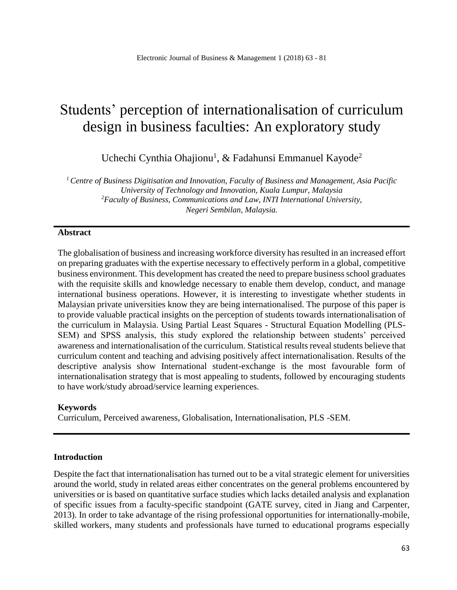# Students' perception of internationalisation of curriculum design in business faculties: An exploratory study

Uchechi Cynthia Ohajionu<sup>1</sup>, & Fadahunsi Emmanuel Kayode<sup>2</sup>

*<sup>1</sup>Centre of Business Digitisation and Innovation, Faculty of Business and Management, Asia Pacific University of Technology and Innovation, Kuala Lumpur, Malaysia <sup>2</sup>Faculty of Business, Communications and Law, INTI International University, Negeri Sembilan, Malaysia.*

#### **Abstract**

The globalisation of business and increasing workforce diversity has resulted in an increased effort on preparing graduates with the expertise necessary to effectively perform in a global, competitive business environment. This development has created the need to prepare business school graduates with the requisite skills and knowledge necessary to enable them develop, conduct, and manage international business operations. However, it is interesting to investigate whether students in Malaysian private universities know they are being internationalised. The purpose of this paper is to provide valuable practical insights on the perception of students towards internationalisation of the curriculum in Malaysia. Using Partial Least Squares - Structural Equation Modelling (PLS-SEM) and SPSS analysis, this study explored the relationship between students' perceived awareness and internationalisation of the curriculum. Statistical results reveal students believe that curriculum content and teaching and advising positively affect internationalisation. Results of the descriptive analysis show International student-exchange is the most favourable form of internationalisation strategy that is most appealing to students, followed by encouraging students to have work/study abroad/service learning experiences.

#### **Keywords**

Curriculum, Perceived awareness, Globalisation, Internationalisation, PLS -SEM.

#### **Introduction**

Despite the fact that internationalisation has turned out to be a vital strategic element for universities around the world, study in related areas either concentrates on the general problems encountered by universities or is based on quantitative surface studies which lacks detailed analysis and explanation of specific issues from a faculty-specific standpoint (GATE survey, cited in Jiang and Carpenter, 2013). In order to take advantage of the rising professional opportunities for internationally-mobile, skilled workers, many students and professionals have turned to educational programs especially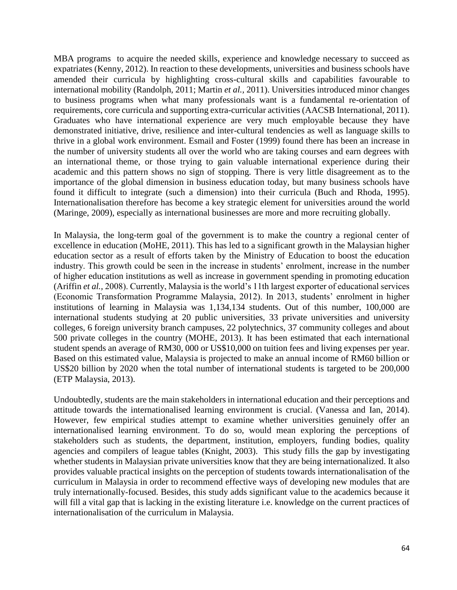MBA programs to acquire the needed skills, experience and knowledge necessary to succeed as expatriates (Kenny, 2012). In reaction to these developments, universities and business schools have amended their curricula by highlighting cross-cultural skills and capabilities favourable to international mobility (Randolph, 2011; Martin *et al.,* 2011). Universities introduced minor changes to business programs when what many professionals want is a fundamental re-orientation of requirements, core curricula and supporting extra-curricular activities (AACSB International, 2011). Graduates who have international experience are very much employable because they have demonstrated initiative, drive, resilience and inter-cultural tendencies as well as language skills to thrive in a global work environment. Esmail and Foster (1999) found there has been an increase in the number of university students all over the world who are taking courses and earn degrees with an international theme, or those trying to gain valuable international experience during their academic and this pattern shows no sign of stopping. There is very little disagreement as to the importance of the global dimension in business education today, but many business schools have found it difficult to integrate (such a dimension) into their curricula (Buch and Rhoda, 1995). Internationalisation therefore has become a key strategic element for universities around the world (Maringe, 2009), especially as international businesses are more and more recruiting globally.

In Malaysia, the long-term goal of the government is to make the country a regional center of excellence in education (MoHE, 2011). This has led to a significant growth in the Malaysian higher education sector as a result of efforts taken by the Ministry of Education to boost the education industry. This growth could be seen in the increase in students' enrolment, increase in the number of higher education institutions as well as increase in government spending in promoting education (Ariffin *et al.,* 2008). Currently, Malaysia is the world's 11th largest exporter of educational services (Economic Transformation Programme Malaysia, 2012). In 2013, students' enrolment in higher institutions of learning in Malaysia was 1,134,134 students. Out of this number, 100,000 are international students studying at 20 public universities, 33 private universities and university colleges, 6 foreign university branch campuses, 22 polytechnics, 37 community colleges and about 500 private colleges in the country (MOHE, 2013). It has been estimated that each international student spends an average of RM30, 000 or US\$10,000 on tuition fees and living expenses per year. Based on this estimated value, Malaysia is projected to make an annual income of RM60 billion or US\$20 billion by 2020 when the total number of international students is targeted to be 200,000 (ETP Malaysia, 2013).

Undoubtedly, students are the main stakeholders in international education and their perceptions and attitude towards the internationalised learning environment is crucial. (Vanessa and Ian, 2014). However, few empirical studies attempt to examine whether universities genuinely offer an internationalised learning environment. To do so, would mean exploring the perceptions of stakeholders such as students, the department, institution, employers, funding bodies, quality agencies and compilers of league tables (Knight, 2003). This study fills the gap by investigating whether students in Malaysian private universities know that they are being internationalized. It also provides valuable practical insights on the perception of students towards internationalisation of the curriculum in Malaysia in order to recommend effective ways of developing new modules that are truly internationally-focused. Besides, this study adds significant value to the academics because it will fill a vital gap that is lacking in the existing literature i.e. knowledge on the current practices of internationalisation of the curriculum in Malaysia.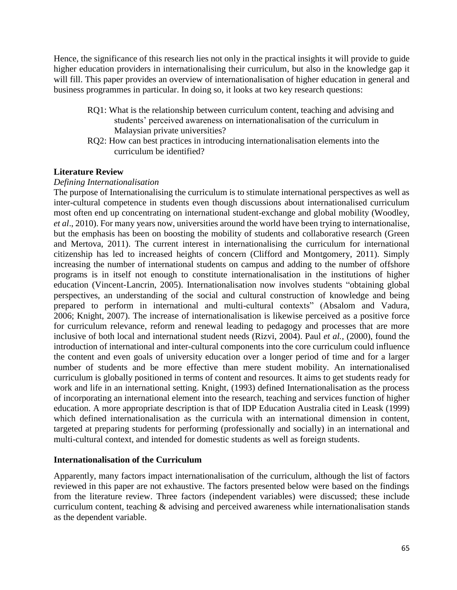Hence, the significance of this research lies not only in the practical insights it will provide to guide higher education providers in internationalising their curriculum, but also in the knowledge gap it will fill. This paper provides an overview of internationalisation of higher education in general and business programmes in particular. In doing so, it looks at two key research questions:

- RQ1: What is the relationship between curriculum content, teaching and advising and students' perceived awareness on internationalisation of the curriculum in Malaysian private universities?
- RQ2: How can best practices in introducing internationalisation elements into the curriculum be identified?

# **Literature Review**

# *Defining Internationalisation*

The purpose of Internationalising the curriculum is to stimulate international perspectives as well as inter-cultural competence in students even though discussions about internationalised curriculum most often end up concentrating on international student-exchange and global mobility (Woodley, *et al*., 2010). For many years now, universities around the world have been trying to internationalise, but the emphasis has been on boosting the mobility of students and collaborative research (Green and Mertova, 2011). The current interest in internationalising the curriculum for international citizenship has led to increased heights of concern (Clifford and Montgomery, 2011). Simply increasing the number of international students on campus and adding to the number of offshore programs is in itself not enough to constitute internationalisation in the institutions of higher education [\(Vincent-Lancrin, 2005\)](http://www.emeraldinsight.com/journals.htm?issn=0968-4883&volume=20&issue=3&articleid=17042029&show=html#idb86). Internationalisation now involves students "obtaining global perspectives, an understanding of the social and cultural construction of knowledge and being prepared to perform in international and multi-cultural contexts" [\(Absalom and Vadura,](http://www.emeraldinsight.com/journals.htm?issn=0968-4883&volume=20&issue=3&articleid=17042029&show=html#idb1)  [2006;](http://www.emeraldinsight.com/journals.htm?issn=0968-4883&volume=20&issue=3&articleid=17042029&show=html#idb1) [Knight, 2007\)](http://www.emeraldinsight.com/journals.htm?issn=0968-4883&volume=20&issue=3&articleid=17042029&show=html#idb40). The increase of internationalisation is likewise perceived as a positive force for curriculum relevance, reform and renewal leading to pedagogy and processes that are more inclusive of both local and international student needs [\(Rizvi, 2004\)](http://www.emeraldinsight.com/journals.htm?issn=0968-4883&volume=20&issue=3&articleid=17042029&show=html#idb68). Paul *et al.,* (2000), found the introduction of international and inter-cultural components into the core curriculum could influence the content and even goals of university education over a longer period of time and for a larger number of students and be more effective than mere student mobility. An internationalised curriculum is globally positioned in terms of content and resources. It aims to get students ready for work and life in an international setting. Knight, (1993) defined Internationalisation as the process of incorporating an international element into the research, teaching and services function of higher education. A more appropriate description is that of IDP Education Australia cited in Leask (1999) which defined internationalisation as the curricula with an international dimension in content, targeted at preparing students for performing (professionally and socially) in an international and multi-cultural context, and intended for domestic students as well as foreign students.

# **Internationalisation of the Curriculum**

Apparently, many factors impact internationalisation of the curriculum, although the list of factors reviewed in this paper are not exhaustive. The factors presented below were based on the findings from the literature review. Three factors (independent variables) were discussed; these include curriculum content, teaching & advising and perceived awareness while internationalisation stands as the dependent variable.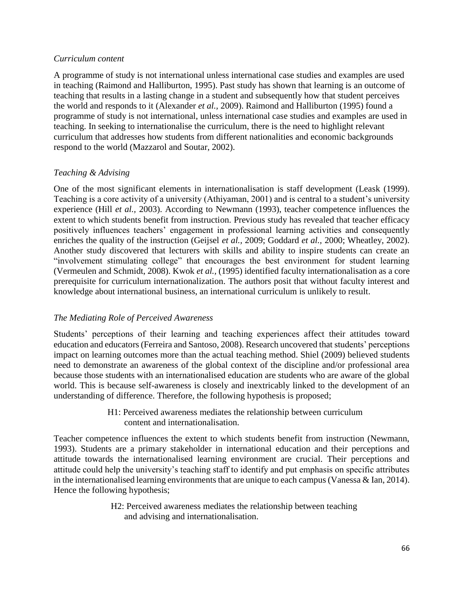#### *Curriculum content*

A programme of study is not international unless international case studies and examples are used in teaching (Raimond and Halliburton, 1995). Past study has shown that learning is an outcome of teaching that results in a lasting change in a student and subsequently how that student perceives the world and responds to it (Alexander *et al.,* 2009). Raimond and Halliburton (1995) found a programme of study is not international, unless international case studies and examples are used in teaching. In seeking to internationalise the curriculum, there is the need to highlight relevant curriculum that addresses how students from different nationalities and economic backgrounds respond to the world (Mazzarol and Soutar, 2002).

# *Teaching & Advising*

One of the most significant elements in internationalisation is staff development (Leask (1999). Teaching is a core activity of a university (Athiyaman, 2001) and is central to a student's university experience (Hill *et al.,* 2003). According to Newmann (1993), teacher competence influences the extent to which students benefit from instruction. Previous study has revealed that teacher efficacy positively influences teachers' engagement in professional learning activities and consequently enriches the quality of the instruction (Geijsel *et al.,* 2009; Goddard *et al.,* 2000; Wheatley, 2002). Another study discovered that lecturers with skills and ability to inspire students can create an "involvement stimulating college" that encourages the best environment for student learning (Vermeulen and Schmidt, 2008). Kwok *et al.,* (1995) identified faculty internationalisation as a core prerequisite for curriculum internationalization. The authors posit that without faculty interest and knowledge about international business, an international curriculum is unlikely to result.

# *The Mediating Role of Perceived Awareness*

Students' perceptions of their learning and teaching experiences affect their attitudes toward education and educators (Ferreira and Santoso, 2008). Research uncovered that students' perceptions impact on learning outcomes more than the actual teaching method. Shiel (2009) believed students need to demonstrate an awareness of the global context of the discipline and/or professional area because those students with an internationalised education are students who are aware of the global world. This is because self-awareness is closely and inextricably linked to the development of an understanding of difference. Therefore, the following hypothesis is proposed;

> H1: Perceived awareness mediates the relationship between curriculum content and internationalisation.

Teacher competence influences the extent to which students benefit from instruction (Newmann, 1993). Students are a primary stakeholder in international education and their perceptions and attitude towards the internationalised learning environment are crucial. Their perceptions and attitude could help the university's teaching staff to identify and put emphasis on specific attributes in the internationalised learning environments that are unique to each campus (Vanessa & Ian, 2014). Hence the following hypothesis;

> H2: Perceived awareness mediates the relationship between teaching and advising and internationalisation.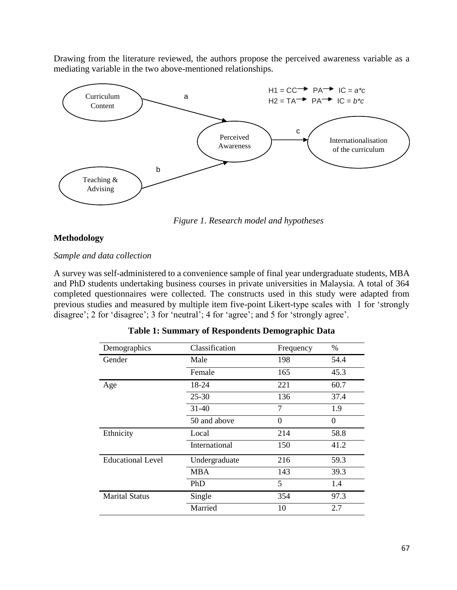Drawing from the literature reviewed, the authors propose the perceived awareness variable as a mediating variable in the two above-mentioned relationships.



 *Figure 1. Research model and hypotheses*

# **Methodology**

# *Sample and data collection*

A survey was self-administered to a convenience sample of final year undergraduate students, MBA and PhD students undertaking business courses in private universities in Malaysia. A total of 364 completed questionnaires were collected. The constructs used in this study were adapted from previous studies and measured by multiple item five-point Likert-type scales with 1 for 'strongly disagree'; 2 for 'disagree'; 3 for 'neutral'; 4 for 'agree'; and 5 for 'strongly agree'.

| Demographics             | Classification | Frequency | %        |
|--------------------------|----------------|-----------|----------|
| Gender                   | Male           | 198       | 54.4     |
|                          | Female         | 165       | 45.3     |
| Age                      | 18-24          | 221       | 60.7     |
|                          | $25 - 30$      | 136       | 37.4     |
|                          | 31-40          | 7         | 1.9      |
|                          | 50 and above   | 0         | $\theta$ |
| Ethnicity                | Local          | 214       | 58.8     |
|                          | International  | 150       | 41.2     |
| <b>Educational Level</b> | Undergraduate  | 216       | 59.3     |
|                          | <b>MBA</b>     | 143       | 39.3     |
|                          | PhD            | 5         | 1.4      |
| <b>Marital Status</b>    | Single         | 354       | 97.3     |
|                          | Married        | 10        | 2.7      |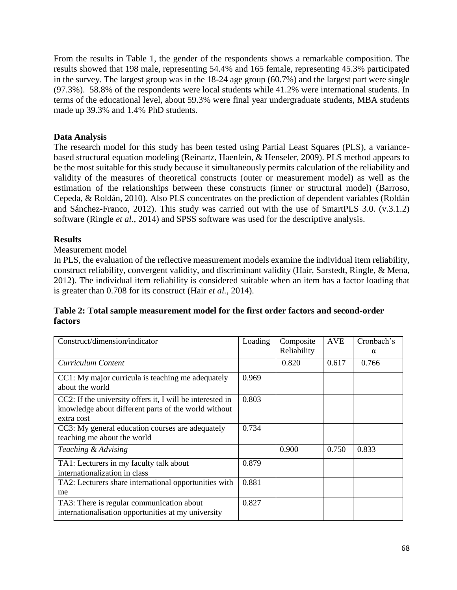From the results in Table 1, the gender of the respondents shows a remarkable composition. The results showed that 198 male, representing 54.4% and 165 female, representing 45.3% participated in the survey. The largest group was in the 18-24 age group (60.7%) and the largest part were single (97.3%). 58.8% of the respondents were local students while 41.2% were international students. In terms of the educational level, about 59.3% were final year undergraduate students, MBA students made up 39.3% and 1.4% PhD students.

# **Data Analysis**

The research model for this study has been tested using Partial Least Squares (PLS), a variancebased structural equation modeling (Reinartz, Haenlein, & Henseler, 2009). PLS method appears to be the most suitable for this study because it simultaneously permits calculation of the reliability and validity of the measures of theoretical constructs (outer or measurement model) as well as the estimation of the relationships between these constructs (inner or structural model) (Barroso, Cepeda, & Roldán, 2010). Also PLS concentrates on the prediction of dependent variables (Roldán and Sánchez-Franco, 2012). This study was carried out with the use of SmartPLS 3.0. (v.3.1.2) software (Ringle *et al.,* 2014) and SPSS software was used for the descriptive analysis.

# **Results**

# Measurement model

In PLS, the evaluation of the reflective measurement models examine the individual item reliability, construct reliability, convergent validity, and discriminant validity (Hair, Sarstedt, Ringle, & Mena, 2012). The individual item reliability is considered suitable when an item has a factor loading that is greater than 0.708 for its construct (Hair *et al.,* 2014).

# **Table 2: Total sample measurement model for the first order factors and second-order factors**

| Construct/dimension/indicator                                                                                                   | Loading | Composite<br>Reliability | <b>AVE</b> | Cronbach's<br>α |
|---------------------------------------------------------------------------------------------------------------------------------|---------|--------------------------|------------|-----------------|
| Curriculum Content                                                                                                              |         | 0.820                    | 0.617      | 0.766           |
| CC1: My major curricula is teaching me adequately<br>about the world                                                            | 0.969   |                          |            |                 |
| CC2: If the university offers it, I will be interested in<br>knowledge about different parts of the world without<br>extra cost | 0.803   |                          |            |                 |
| CC3: My general education courses are adequately<br>teaching me about the world                                                 | 0.734   |                          |            |                 |
| Teaching & Advising                                                                                                             |         | 0.900                    | 0.750      | 0.833           |
| TA1: Lecturers in my faculty talk about<br>internationalization in class                                                        | 0.879   |                          |            |                 |
| TA2: Lecturers share international opportunities with<br>me                                                                     | 0.881   |                          |            |                 |
| TA3: There is regular communication about<br>internationalisation opportunities at my university                                | 0.827   |                          |            |                 |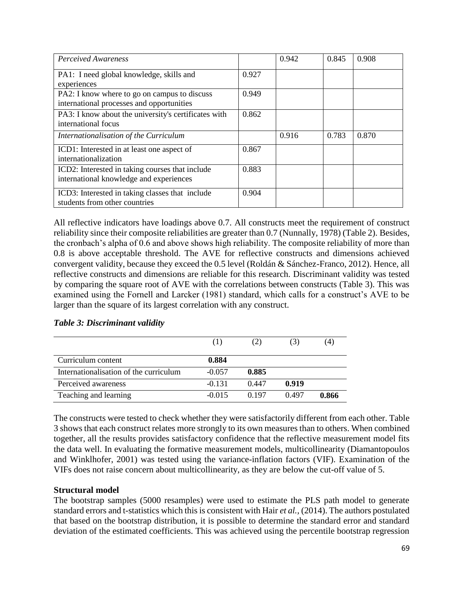| Perceived Awareness                                  |       | 0.942 | 0.845 | 0.908 |
|------------------------------------------------------|-------|-------|-------|-------|
| PA1: I need global knowledge, skills and             | 0.927 |       |       |       |
| experiences                                          |       |       |       |       |
| PA2: I know where to go on campus to discuss         | 0.949 |       |       |       |
| international processes and opportunities            |       |       |       |       |
| PA3: I know about the university's certificates with | 0.862 |       |       |       |
| international focus                                  |       |       |       |       |
| Internationalisation of the Curriculum               |       | 0.916 | 0.783 | 0.870 |
| ICD1: Interested in at least one aspect of           | 0.867 |       |       |       |
| internationalization                                 |       |       |       |       |
| ICD2: Interested in taking courses that include      | 0.883 |       |       |       |
| international knowledge and experiences              |       |       |       |       |
| ICD3: Interested in taking classes that include      | 0.904 |       |       |       |
| students from other countries                        |       |       |       |       |

All reflective indicators have loadings above 0.7. All constructs meet the requirement of construct reliability since their composite reliabilities are greater than 0.7 (Nunnally, 1978) (Table 2). Besides, the cronbach's alpha of 0.6 and above shows high reliability. The composite reliability of more than 0.8 is above acceptable threshold. The AVE for reflective constructs and dimensions achieved convergent validity, because they exceed the 0.5 level (Roldán & Sánchez-Franco, 2012). Hence, all reflective constructs and dimensions are reliable for this research. Discriminant validity was tested by comparing the square root of AVE with the correlations between constructs (Table 3). This was examined using the Fornell and Larcker (1981) standard, which calls for a construct's AVE to be larger than the square of its largest correlation with any construct.

|                                        |          |       | (3)   | (4)   |
|----------------------------------------|----------|-------|-------|-------|
| Curriculum content                     | 0.884    |       |       |       |
| Internationalisation of the curriculum | $-0.057$ | 0.885 |       |       |
| Perceived awareness                    | $-0.131$ | 0.447 | 0.919 |       |
| Teaching and learning                  | $-0.015$ | 0.197 | 0.497 | 0.866 |

# *Table 3: Discriminant validity*

The constructs were tested to check whether they were satisfactorily different from each other. Table 3 shows that each construct relates more strongly to its own measures than to others. When combined together, all the results provides satisfactory confidence that the reflective measurement model fits the data well. In evaluating the formative measurement models, multicollinearity (Diamantopoulos and Winklhofer, 2001) was tested using the variance-inflation factors (VIF). Examination of the VIFs does not raise concern about multicollinearity, as they are below the cut-off value of 5.

# **Structural model**

The bootstrap samples (5000 resamples) were used to estimate the PLS path model to generate standard errors and t-statistics which this is consistent with Hair *et al.,* (2014). The authors postulated that based on the bootstrap distribution, it is possible to determine the standard error and standard deviation of the estimated coefficients. This was achieved using the percentile bootstrap regression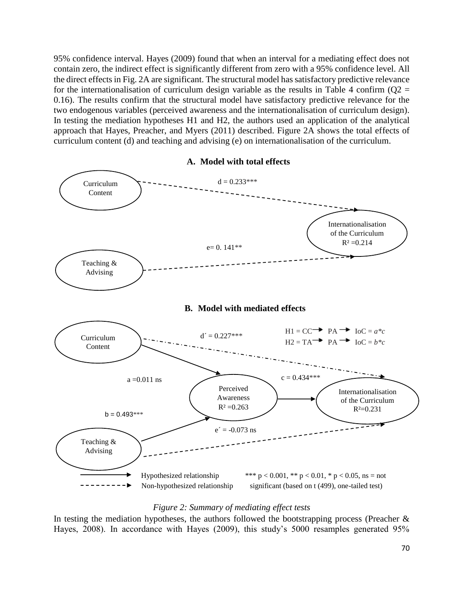95% confidence interval. Hayes (2009) found that when an interval for a mediating effect does not contain zero, the indirect effect is significantly different from zero with a 95% confidence level. All the direct effects in Fig. 2A are significant. The structural model has satisfactory predictive relevance for the internationalisation of curriculum design variable as the results in Table 4 confirm ( $Q2 =$ 0.16). The results confirm that the structural model have satisfactory predictive relevance for the two endogenous variables (perceived awareness and the internationalisation of curriculum design). In testing the mediation hypotheses H1 and H2, the authors used an application of the analytical approach that Hayes, Preacher, and Myers (2011) described. Figure 2A shows the total effects of curriculum content (d) and teaching and advising (e) on internationalisation of the curriculum.

**B. Model with mediated effects**  Hypothesized relationship \*\*\*  $p < 0.001$ , \*\*  $p < 0.01$ , \*  $p < 0.05$ , ns = not Non-hypothesized relationship significant (based on t (499), one-tailed test) Curriculum Content Internationalisation of the Curriculum  $R^2 = 0.214$ Teaching & Advising Curriculum Content Perceived Awareness  $R^2 = 0.263$ Internationalisation of the Curriculum  $R^2 = 0.231$ Teaching & Advising  $d = 0.233***$  $e= 0.141**$  $H1 = CC \rightarrow PA \rightarrow IoC = a*c$  $H2 = TA$  PA  $\rightarrow$  IoC =  $b$ <sup>\*</sup>c  $a = 0.011$  ns  $b = 0.493***$  $c = 0.434***$  $d' = 0.227***$  $e' = -0.073$  ns

#### **A. Model with total effects**

#### *Figure 2: Summary of mediating effect tests*

In testing the mediation hypotheses, the authors followed the bootstrapping process (Preacher  $\&$ Hayes, 2008). In accordance with Hayes (2009), this study's 5000 resamples generated 95%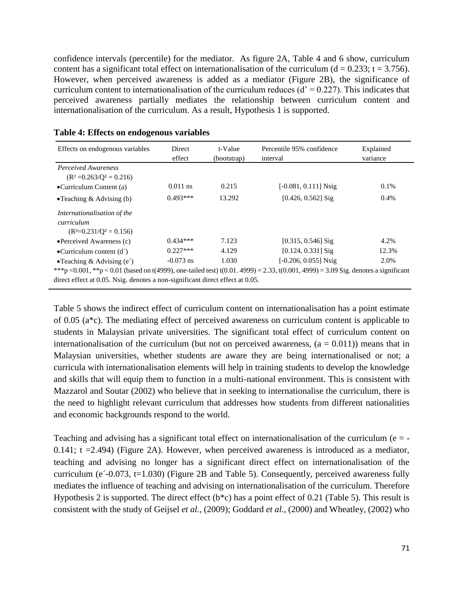confidence intervals (percentile) for the mediator. As figure 2A, Table 4 and 6 show, curriculum content has a significant total effect on internationalisation of the curriculum ( $d = 0.233$ ;  $t = 3.756$ ). However, when perceived awareness is added as a mediator (Figure 2B), the significance of curriculum content to internationalisation of the curriculum reduces ( $d' = 0.227$ ). This indicates that perceived awareness partially mediates the relationship between curriculum content and internationalisation of the curriculum. As a result, Hypothesis 1 is supported.

| Effects on endogenous variables                                                                                                 | <b>Direct</b><br>effect | t-Value<br>(bootstrap) | Percentile 95% confidence<br>interval | Explained<br>variance |
|---------------------------------------------------------------------------------------------------------------------------------|-------------------------|------------------------|---------------------------------------|-----------------------|
| Perceived Awareness                                                                                                             |                         |                        |                                       |                       |
| $(R^2 = 0.263/Q^2 = 0.216)$                                                                                                     |                         |                        |                                       |                       |
| $\bullet$ Curriculum Content (a)                                                                                                | $0.011$ ns              | 0.215                  | $[-0.081, 0.111]$ Nsig                | 0.1%                  |
| • Teaching $&$ Advising (b)                                                                                                     | $0.493***$              | 13.292                 | $[0.426, 0.562]$ Sig                  | 0.4%                  |
| Internationalisation of the                                                                                                     |                         |                        |                                       |                       |
| curriculum                                                                                                                      |                         |                        |                                       |                       |
| $(R^2=0.231/Q^2=0.156)$                                                                                                         |                         |                        |                                       |                       |
| $\bullet$ Perceived Awareness (c)                                                                                               | $0.434***$              | 7.123                  | $[0.315, 0.546]$ Sig                  | 4.2%                  |
| •Curriculum content $(d')$                                                                                                      | $0.227***$              | 4.129                  | $[0.124, 0.331]$ Sig                  | 12.3%                 |
| • Teaching & Advising $(e')$                                                                                                    | $-0.073$ ns             | 1.030                  | $[-0.206, 0.055]$ Nsig                | 2.0%                  |
| ***p <0.001, **p <0.01 (based on t(4999), one-tailed test) t(0.01.4999) = 2.33, t(0.001,4999) = 3.09 Sig. denotes a significant |                         |                        |                                       |                       |
| direct effect at 0.05. Nsig. denotes a non-significant direct effect at 0.05.                                                   |                         |                        |                                       |                       |

**Table 4: Effects on endogenous variables**

Table 5 shows the indirect effect of curriculum content on internationalisation has a point estimate of 0.05 (a\*c). The mediating effect of perceived awareness on curriculum content is applicable to students in Malaysian private universities. The significant total effect of curriculum content on internationalisation of the curriculum (but not on perceived awareness,  $(a = 0.011)$ ) means that in Malaysian universities, whether students are aware they are being internationalised or not; a curricula with internationalisation elements will help in training students to develop the knowledge and skills that will equip them to function in a multi-national environment. This is consistent with Mazzarol and Soutar (2002) who believe that in seeking to internationalise the curriculum, there is the need to highlight relevant curriculum that addresses how students from different nationalities and economic backgrounds respond to the world.

Teaching and advising has a significant total effect on internationalisation of the curriculum ( $e = -$ 0.141;  $t = 2.494$ ) (Figure 2A). However, when perceived awareness is introduced as a mediator, teaching and advising no longer has a significant direct effect on internationalisation of the curriculum (e´-0.073, t=1.030) (Figure 2B and Table 5). Consequently, perceived awareness fully mediates the influence of teaching and advising on internationalisation of the curriculum. Therefore Hypothesis 2 is supported. The direct effect  $(b * c)$  has a point effect of 0.21 (Table 5). This result is consistent with the study of Geijsel *et al.,* (2009); Goddard *et al.,* (2000) and Wheatley, (2002) who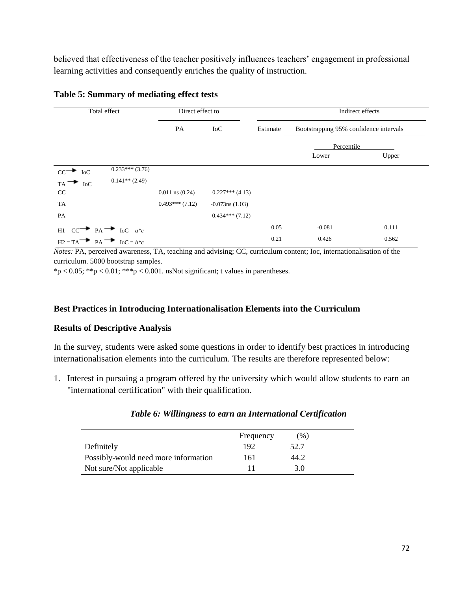believed that effectiveness of the teacher positively influences teachers' engagement in professional learning activities and consequently enriches the quality of instruction.

|                           | Total effect               |                     | Direct effect to     |          | Indirect effects                                     |       |
|---------------------------|----------------------------|---------------------|----------------------|----------|------------------------------------------------------|-------|
|                           |                            | PA                  | <b>IoC</b>           | Estimate | Bootstrapping 95% confidence intervals<br>Percentile |       |
|                           |                            |                     |                      |          |                                                      |       |
|                           |                            |                     |                      |          | Lower                                                | Upper |
| $CC \rightarrow DC$       | $0.233***(3.76)$           |                     |                      |          |                                                      |       |
| $TA \rightarrow I_0C$     | $0.141**$ (2.49)           |                     |                      |          |                                                      |       |
| CC                        |                            | $0.011$ ns $(0.24)$ | $0.227***(4.13)$     |          |                                                      |       |
| TA                        |                            | $0.493***(7.12)$    | $-0.073$ ns $(1.03)$ |          |                                                      |       |
| PA                        |                            |                     | $0.434***(7.12)$     |          |                                                      |       |
|                           | $H1 = CC$ $PA$ $DC = a *c$ |                     |                      | 0.05     | $-0.081$                                             | 0.111 |
| $H2 = TA$ $PA$ $Q = b *c$ |                            |                     |                      | 0.21     | 0.426                                                | 0.562 |

#### **Table 5: Summary of mediating effect tests**

*Notes:* PA, perceived awareness, TA, teaching and advising; CC, curriculum content; Ioc, internationalisation of the curriculum. 5000 bootstrap samples.

 $*p < 0.05$ ;  $**p < 0.01$ ;  $***p < 0.001$ . nsNot significant; t values in parentheses.

# **Best Practices in Introducing Internationalisation Elements into the Curriculum**

# **Results of Descriptive Analysis**

In the survey, students were asked some questions in order to identify best practices in introducing internationalisation elements into the curriculum. The results are therefore represented below:

1. Interest in pursuing a program offered by the university which would allow students to earn an "international certification" with their qualification.

|                                      | Frequency | $\frac{9}{0}$ |
|--------------------------------------|-----------|---------------|
| Definitely                           | 192       | 52.7          |
| Possibly-would need more information | 161       | 44.2          |
| Not sure/Not applicable              |           | 3.O           |

#### *Table 6: Willingness to earn an International Certification*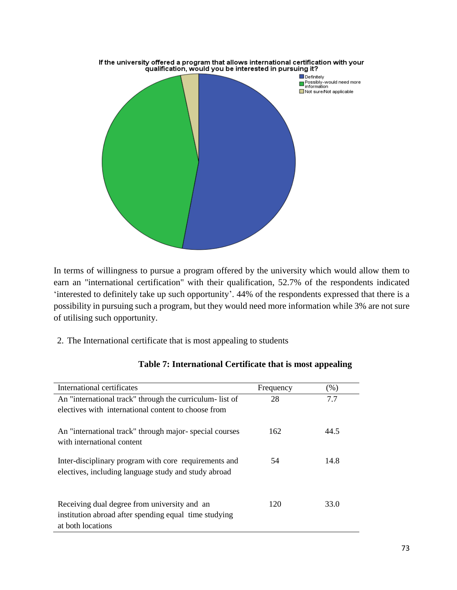

In terms of willingness to pursue a program offered by the university which would allow them to earn an "international certification" with their qualification, 52.7% of the respondents indicated 'interested to definitely take up such opportunity'. 44% of the respondents expressed that there is a possibility in pursuing such a program, but they would need more information while 3% are not sure of utilising such opportunity.

2. The International certificate that is most appealing to students

| International certificates                               | Frequency | (% ) |
|----------------------------------------------------------|-----------|------|
| An "international track" through the curriculum- list of | 28        | 7.7  |
| electives with international content to choose from      |           |      |
| An "international track" through major-special courses   | 162       | 44.5 |
| with international content                               |           |      |
| Inter-disciplinary program with core requirements and    | 54        | 14.8 |
| electives, including language study and study abroad     |           |      |
|                                                          |           |      |
| Receiving dual degree from university and an             | 120       | 33.0 |
| institution abroad after spending equal time studying    |           |      |
| at both locations                                        |           |      |

# **Table 7: International Certificate that is most appealing**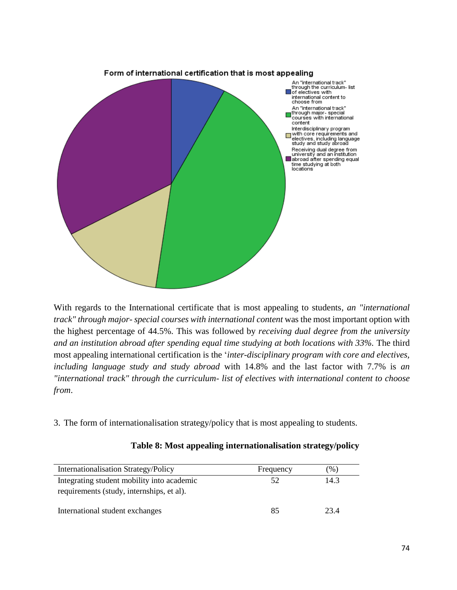

With regards to the International certificate that is most appealing to students*, an "international track" through major- special courses with international content* was the most important option with the highest percentage of 44.5%. This was followed by *receiving dual degree from the university and an institution abroad after spending equal time studying at both locations with 33%.* The third most appealing international certification is the '*inter-disciplinary program with core and electives, including language study and study abroad* with 14.8% and the last factor with 7.7% is *an "international track" through the curriculum- list of electives with international content to choose from*.

3. The form of internationalisation strategy/policy that is most appealing to students.

| Internationalisation Strategy/Policy                                                    | Frequency | $(\%)$ |
|-----------------------------------------------------------------------------------------|-----------|--------|
| Integrating student mobility into academic<br>requirements (study, internships, et al). | 52        | 14.3   |
| International student exchanges                                                         | 85        | 23.4   |

# **Table 8: Most appealing internationalisation strategy/policy**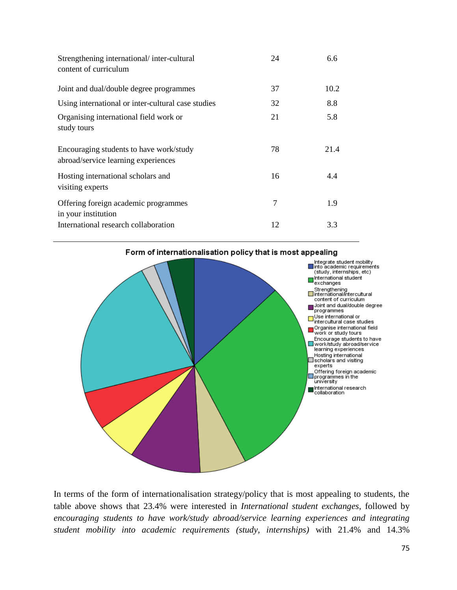| Strengthening international/inter-cultural<br>content of curriculum            | 24 | 6.6  |
|--------------------------------------------------------------------------------|----|------|
| Joint and dual/double degree programmes                                        | 37 | 10.2 |
| Using international or inter-cultural case studies                             | 32 | 8.8  |
| Organising international field work or<br>study tours                          | 21 | 5.8  |
| Encouraging students to have work/study<br>abroad/service learning experiences | 78 | 21.4 |
| Hosting international scholars and<br>visiting experts                         | 16 | 4.4  |
| Offering foreign academic programmes<br>in your institution                    | 7  | 1.9  |
| International research collaboration                                           | 12 | 3.3  |



In terms of the form of internationalisation strategy/policy that is most appealing to students, the table above shows that 23.4% were interested in *International student exchanges*, followed by *encouraging students to have work/study abroad/service learning experiences and integrating student mobility into academic requirements (study, internships)* with 21.4% and 14.3%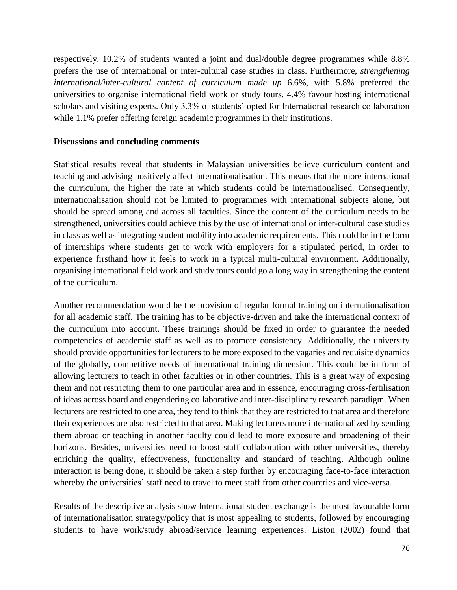respectively. 10.2% of students wanted a joint and dual/double degree programmes while 8.8% prefers the use of international or inter-cultural case studies in class. Furthermore, *strengthening international/inter-cultural content of curriculum made up* 6.6%, with 5.8% preferred the universities to organise international field work or study tours. 4.4% favour hosting international scholars and visiting experts. Only 3.3% of students' opted for International research collaboration while 1.1% prefer offering foreign academic programmes in their institutions.

# **Discussions and concluding comments**

Statistical results reveal that students in Malaysian universities believe curriculum content and teaching and advising positively affect internationalisation. This means that the more international the curriculum, the higher the rate at which students could be internationalised. Consequently, internationalisation should not be limited to programmes with international subjects alone, but should be spread among and across all faculties. Since the content of the curriculum needs to be strengthened, universities could achieve this by the use of international or inter-cultural case studies in class as well as integrating student mobility into academic requirements. This could be in the form of internships where students get to work with employers for a stipulated period, in order to experience firsthand how it feels to work in a typical multi-cultural environment. Additionally, organising international field work and study tours could go a long way in strengthening the content of the curriculum.

Another recommendation would be the provision of regular formal training on internationalisation for all academic staff. The training has to be objective-driven and take the international context of the curriculum into account. These trainings should be fixed in order to guarantee the needed competencies of academic staff as well as to promote consistency. Additionally, the university should provide opportunities for lecturers to be more exposed to the vagaries and requisite dynamics of the globally, competitive needs of international training dimension. This could be in form of allowing lecturers to teach in other faculties or in other countries. This is a great way of exposing them and not restricting them to one particular area and in essence, encouraging cross-fertilisation of ideas across board and engendering collaborative and inter-disciplinary research paradigm. When lecturers are restricted to one area, they tend to think that they are restricted to that area and therefore their experiences are also restricted to that area. Making lecturers more internationalized by sending them abroad or teaching in another faculty could lead to more exposure and broadening of their horizons. Besides, universities need to boost staff collaboration with other universities, thereby enriching the quality, effectiveness, functionality and standard of teaching. Although online interaction is being done, it should be taken a step further by encouraging face-to-face interaction whereby the universities' staff need to travel to meet staff from other countries and vice-versa.

Results of the descriptive analysis show International student exchange is the most favourable form of internationalisation strategy/policy that is most appealing to students, followed by encouraging students to have work/study abroad/service learning experiences. [Liston \(2002\)](http://www.emeraldinsight.com/journals.htm?issn=0307-4803&volume=108&issue=1/2&articleid=1585503&show=html#idb23) found that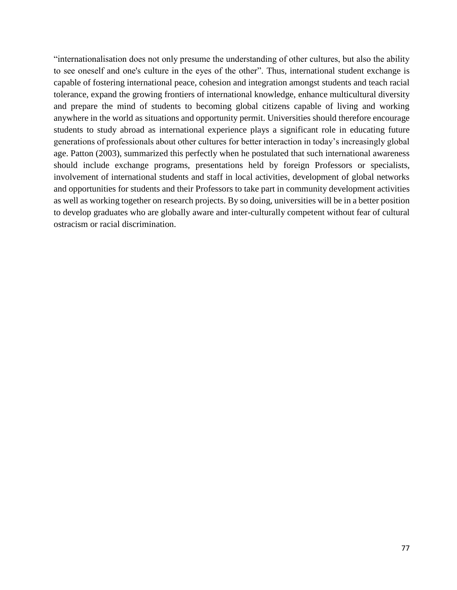"internationalisation does not only presume the understanding of other cultures, but also the ability to see oneself and one's culture in the eyes of the other". Thus, international student exchange is capable of fostering international peace, cohesion and integration amongst students and teach racial tolerance, expand the growing frontiers of international knowledge, enhance multicultural diversity and prepare the mind of students to becoming global citizens capable of living and working anywhere in the world as situations and opportunity permit. Universities should therefore encourage students to study abroad as international experience plays a significant role in educating future generations of professionals about other cultures for better interaction in today's increasingly global age. [Patton \(2003\),](http://www.emeraldinsight.com/journals.htm?issn=0307-4803&volume=108&issue=1/2&articleid=1585503&show=html#idb30) summarized this perfectly when he postulated that such international awareness should include exchange programs, presentations held by foreign Professors or specialists, involvement of international students and staff in local activities, development of global networks and opportunities for students and their Professors to take part in community development activities as well as working together on research projects. By so doing, universities will be in a better position to develop graduates who are globally aware and inter-culturally competent without fear of cultural ostracism or racial discrimination.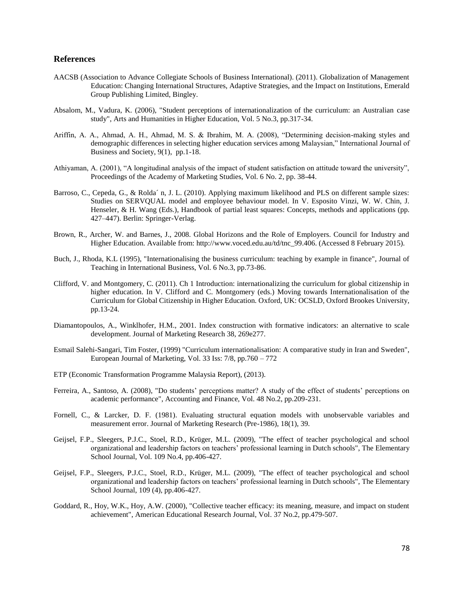#### **References**

- AACSB (Association to Advance Collegiate Schools of Business International). (2011). Globalization of Management Education: Changing International Structures, Adaptive Strategies, and the Impact on Institutions, Emerald Group Publishing Limited, Bingley.
- Absalom, M., Vadura, K. (2006), "Student perceptions of internationalization of the curriculum: an Australian case study", Arts and Humanities in Higher Education, Vol. 5 No.3, pp.317-34.
- Ariffin, A. A., Ahmad, A. H., Ahmad, M. S. & Ibrahim, M. A. (2008), "Determining decision-making styles and demographic differences in selecting higher education services among Malaysian," International Journal of Business and Society, 9(1), pp.1-18.
- Athiyaman, A. (2001), "A longitudinal analysis of the impact of student satisfaction on attitude toward the university", Proceedings of the Academy of Marketing Studies, Vol. 6 No. 2, pp. 38-44.
- Barroso, C., Cepeda, G., & Rolda´ n, J. L. (2010). Applying maximum likelihood and PLS on different sample sizes: Studies on SERVQUAL model and employee behaviour model. In V. Esposito Vinzi, W. W. Chin, J. Henseler, & H. Wang (Eds.), Handbook of partial least squares: Concepts, methods and applications (pp. 427–447). Berlin: Springer-Verlag.
- Brown, R., Archer, W. and Barnes, J., 2008. Global Horizons and the Role of Employers. Council for Industry and Higher Education. Available from: http://www.voced.edu.au/td/tnc\_99.406. (Accessed 8 February 2015).
- Buch, J., Rhoda, K.L (1995), "Internationalising the business curriculum: teaching by example in finance", Journal of Teaching in International Business, Vol. 6 No.3, pp.73-86.
- Clifford, V. and Montgomery, C. (2011). Ch 1 Introduction: internationalizing the curriculum for global citizenship in higher education. In V. Clifford and C. Montgomery (eds.) Moving towards Internationalisation of the Curriculum for Global Citizenship in Higher Education. Oxford, UK: OCSLD, Oxford Brookes University, pp.13-24.
- Diamantopoulos, A., Winklhofer, H.M., 2001. Index construction with formative indicators: an alternative to scale development. Journal of Marketing Research 38, 269e277.
- Esmail Salehi-Sangari, Tim Foster, (1999) "Curriculum internationalisation: A comparative study in Iran and Sweden", European Journal of Marketing, Vol. 33 Iss: 7/8, pp.760 – 772
- ETP (Economic Transformation Programme Malaysia Report), (2013).
- Ferreira, A., Santoso, A. (2008), "Do students' perceptions matter? A study of the effect of students' perceptions on academic performance", Accounting and Finance, Vol. 48 No.2, pp.209-231.
- Fornell, C., & Larcker, D. F. (1981). Evaluating structural equation models with unobservable variables and measurement error. Journal of Marketing Research (Pre-1986), 18(1), 39.
- Geijsel, F.P., Sleegers, P.J.C., Stoel, R.D., Krüger, M.L. (2009), "The effect of teacher psychological and school organizational and leadership factors on teachers' professional learning in Dutch schools", The Elementary School Journal, Vol. 109 No.4, pp.406-427.
- Geijsel, F.P., Sleegers, P.J.C., Stoel, R.D., Krüger, M.L. (2009), "The effect of teacher psychological and school organizational and leadership factors on teachers' professional learning in Dutch schools", The Elementary School Journal, 109 (4), pp.406-427.
- Goddard, R., Hoy, W.K., Hoy, A.W. (2000), "Collective teacher efficacy: its meaning, measure, and impact on student achievement", American Educational Research Journal, Vol. 37 No.2, pp.479-507.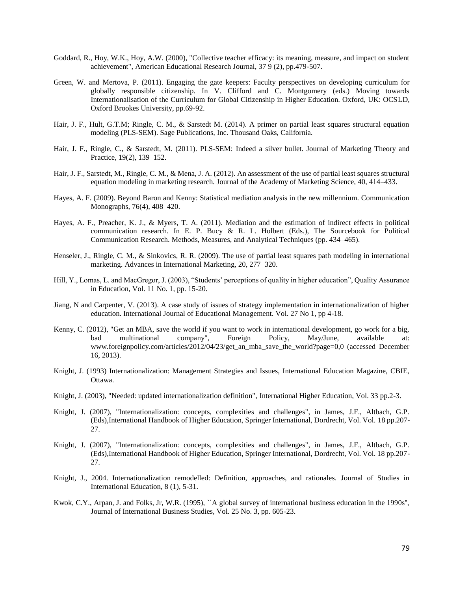- Goddard, R., Hoy, W.K., Hoy, A.W. (2000), "Collective teacher efficacy: its meaning, measure, and impact on student achievement", American Educational Research Journal, 37 9 (2), pp.479-507.
- Green, W. and Mertova, P. (2011). Engaging the gate keepers: Faculty perspectives on developing curriculum for globally responsible citizenship. In V. Clifford and C. Montgomery (eds.) Moving towards Internationalisation of the Curriculum for Global Citizenship in Higher Education. Oxford, UK: OCSLD, Oxford Brookes University, pp.69-92.
- Hair, J. F., Hult, G.T.M; Ringle, C. M., & Sarstedt M. (2014). A primer on partial least squares structural equation modeling (PLS-SEM). Sage Publications, Inc. Thousand Oaks, California.
- Hair, J. F., Ringle, C., & Sarstedt, M. (2011). PLS-SEM: Indeed a silver bullet. Journal of Marketing Theory and Practice, 19(2), 139–152.
- Hair, J. F., Sarstedt, M., Ringle, C. M., & Mena, J. A. (2012). An assessment of the use of partial least squares structural equation modeling in marketing research. Journal of the Academy of Marketing Science, 40, 414–433.
- Hayes, A. F. (2009). Beyond Baron and Kenny: Statistical mediation analysis in the new millennium. Communication Monographs, 76(4), 408–420.
- Hayes, A. F., Preacher, K. J., & Myers, T. A. (2011). Mediation and the estimation of indirect effects in political communication research. In E. P. Bucy & R. L. Holbert (Eds.), The Sourcebook for Political Communication Research. Methods, Measures, and Analytical Techniques (pp. 434–465).
- Henseler, J., Ringle, C. M., & Sinkovics, R. R. (2009). The use of partial least squares path modeling in international marketing. Advances in International Marketing, 20, 277–320.
- Hill, Y., Lomas, L. and MacGregor, J. (2003), "Students' perceptions of quality in higher education", Quality Assurance in Education, Vol. 11 No. 1, pp. 15-20.
- Jiang, N and Carpenter, V. (2013). A case study of issues of strategy implementation in internationalization of higher education. International Journal of Educational Management. Vol. 27 No 1, pp 4-18.
- Kenny, C. (2012), "Get an MBA, save the world if you want to work in international development, go work for a big, bad multinational company", Foreign Policy, May/June, available at: www.foreignpolicy.com/articles/2012/04/23/get\_an\_mba\_save\_the\_world?page=0,0 (accessed December 16, 2013).
- Knight, J. (1993) Internationalization: Management Strategies and Issues, International Education Magazine, CBIE, Ottawa.
- Knight, J. (2003), "Needed: updated internationalization definition", International Higher Education, Vol. 33 pp.2-3.
- Knight, J. (2007), "Internationalization: concepts, complexities and challenges", in James, J.F., Altbach, G.P. (Eds),International Handbook of Higher Education, Springer International, Dordrecht, Vol. Vol. 18 pp.207- 27.
- Knight, J. (2007), "Internationalization: concepts, complexities and challenges", in James, J.F., Altbach, G.P. (Eds),International Handbook of Higher Education, Springer International, Dordrecht, Vol. Vol. 18 pp.207- 27.
- Knight, J., 2004. Internationalization remodelled: Definition, approaches, and rationales. Journal of Studies in International Education, 8 (1), 5-31.
- Kwok, C.Y., Arpan, J. and Folks, Jr, W.R. (1995), ``A global survey of international business education in the 1990s", Journal of International Business Studies, Vol. 25 No. 3, pp. 605-23.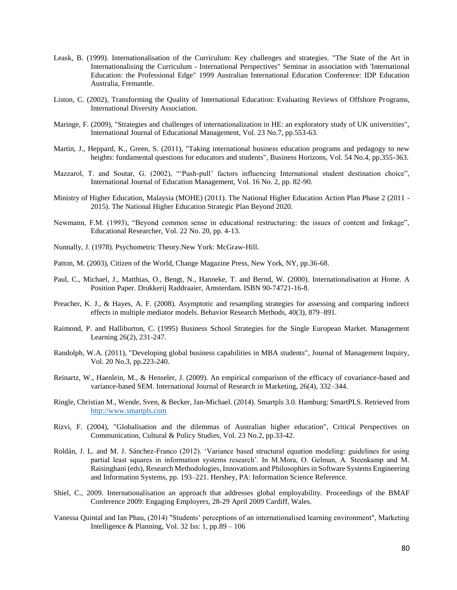- Leask, B. (1999). Internationalisation of the Curriculum: Key challenges and strategies. "The State of the Art in Internationalising the Curriculum - International Perspectives" Seminar in association with 'International Education: the Professional Edge" 1999 Australian International Education Conference: IDP Education Australia, Fremantle.
- Liston, C. (2002), Transforming the Quality of International Education: Evaluating Reviews of Offshore Programs, International Diversity Association.
- Maringe, F. (2009), "Strategies and challenges of internationalization in HE: an exploratory study of UK universities", International Journal of Educational Management, Vol. 23 No.7, pp.553-63.
- Martin, J., Heppard, K., Green, S. (2011), "Taking international business education programs and pedagogy to new heights: fundamental questions for educators and students", Business Horizons, Vol. 54 No.4, pp.355-363.
- Mazzarol, T. and Soutar, G. (2002), "'Push-pull' factors influencing International student destination choice", International Journal of Education Management, Vol. 16 No. 2, pp. 82-90.
- Ministry of Higher Education, Malaysia (MOHE) (2011). The National Higher Education Action Plan Phase 2 (2011 2015). The National Higher Education Strategic Plan Beyond 2020.
- Newmann, F.M. (1993), "Beyond common sense in educational restructuring: the issues of content and linkage", Educational Researcher, Vol. 22 No. 20, pp. 4-13.
- Nunnally, J. (1978). Psychometric Theory.New York: McGraw-Hill.
- Patton, M. (2003), Citizen of the World, Change Magazine Press, New York, NY, pp.36-68.
- Paul, C., Michael, J., Matthias, O., Bengt, N., Hanneke, T. and Bernd, W. (2000). Internationalisation at Home. A Position Paper. Drukkerij Raddraaier, Amsterdam. ISBN 90-74721-16-8.
- Preacher, K. J., & Hayes, A. F. (2008). Asymptotic and resampling strategies for assessing and comparing indirect effects in multiple mediator models. Behavior Research Methods, 40(3), 879–891.
- Raimond, P. and Halliburton, C. (1995) Business School Strategies for the Single European Market. Management Learning 26(2), 231-247.
- Randolph, W.A. (2011), "Developing global business capabilities in MBA students", Journal of Management Inquiry, Vol. 20 No.3, pp.223-240.
- Reinartz, W., Haenlein, M., & Henseler, J. (2009). An empirical comparison of the efficacy of covariance-based and variance-based SEM. International Journal of Research in Marketing, 26(4), 332–344.
- Ringle, Christian M., Wende, Sven, & Becker, Jan-Michael. (2014). Smartpls 3.0. Hamburg: SmartPLS. Retrieved from [http://www.smartpls.com](http://www.smartpls.com/)
- Rizvi, F. (2004), "Globalisation and the dilemmas of Australian higher education", Critical Perspectives on Communication, Cultural & Policy Studies, Vol. 23 No.2, pp.33-42.
- Roldán, J. L. and M. J. Sánchez-Franco (2012). 'Variance based structural equation modeling: guidelines for using partial least squares in information systems research'. In M.Mora, O. Gelman, A. Steenkamp and M. Raisinghani (eds), Research Methodologies, Innovations and Philosophies in Software Systems Engineering and Information Systems, pp. 193–221. Hershey, PA: Information Science Reference.
- Shiel, C., 2009. Internationalisation an approach that addresses global employability. Proceedings of the BMAF Conference 2009: Engaging Employers, 28-29 April 2009 Cardiff, Wales.
- Vanessa Quintal and Ian Phau, (2014) "Students' perceptions of an internationalised learning environment", Marketing Intelligence & Planning, Vol. 32 Iss:  $1, pp.89 - 106$